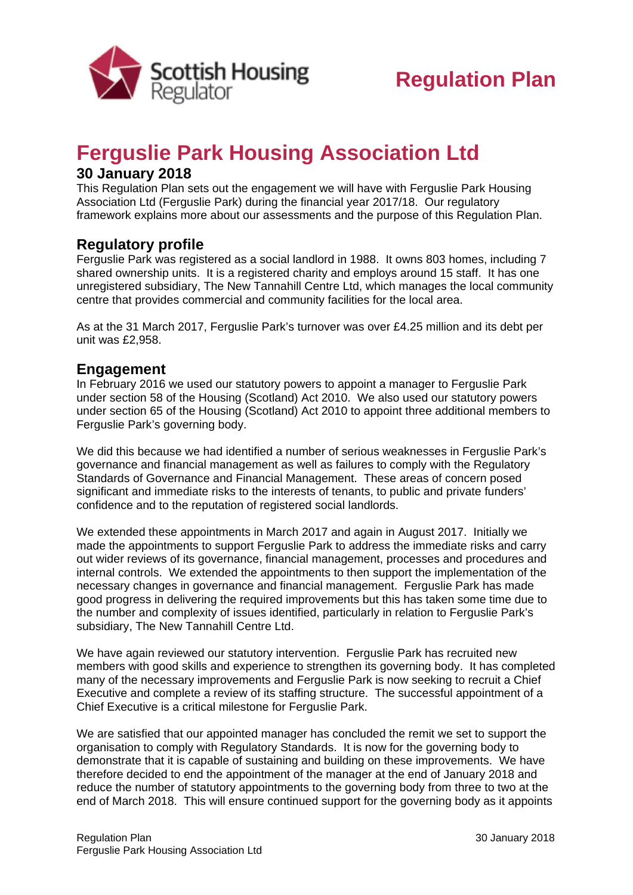

# **Ferguslie Park Housing Association Ltd**

### **30 January 2018**

This Regulation Plan sets out the engagement we will have with Ferguslie Park Housing Association Ltd (Ferguslie Park) during the financial year 2017/18. Our regulatory framework explains more about our assessments and the purpose of this Regulation Plan.

## **Regulatory profile**

Ferguslie Park was registered as a social landlord in 1988. It owns 803 homes, including 7 shared ownership units. It is a registered charity and employs around 15 staff. It has one unregistered subsidiary, The New Tannahill Centre Ltd, which manages the local community centre that provides commercial and community facilities for the local area.

As at the 31 March 2017, Ferguslie Park's turnover was over £4.25 million and its debt per unit was £2,958.

#### **Engagement**

In February 2016 we used our statutory powers to appoint a manager to Ferguslie Park under section 58 of the Housing (Scotland) Act 2010. We also used our statutory powers under section 65 of the Housing (Scotland) Act 2010 to appoint three additional members to Ferguslie Park's governing body.

We did this because we had identified a number of serious weaknesses in Ferguslie Park's governance and financial management as well as failures to comply with the Regulatory Standards of Governance and Financial Management. These areas of concern posed significant and immediate risks to the interests of tenants, to public and private funders' confidence and to the reputation of registered social landlords.

We extended these appointments in March 2017 and again in August 2017. Initially we made the appointments to support Ferguslie Park to address the immediate risks and carry out wider reviews of its governance, financial management, processes and procedures and internal controls. We extended the appointments to then support the implementation of the necessary changes in governance and financial management. Ferguslie Park has made good progress in delivering the required improvements but this has taken some time due to the number and complexity of issues identified, particularly in relation to Ferguslie Park's subsidiary, The New Tannahill Centre Ltd.

We have again reviewed our statutory intervention. Ferguslie Park has recruited new members with good skills and experience to strengthen its governing body. It has completed many of the necessary improvements and Ferguslie Park is now seeking to recruit a Chief Executive and complete a review of its staffing structure. The successful appointment of a Chief Executive is a critical milestone for Ferguslie Park.

We are satisfied that our appointed manager has concluded the remit we set to support the organisation to comply with Regulatory Standards. It is now for the governing body to demonstrate that it is capable of sustaining and building on these improvements. We have therefore decided to end the appointment of the manager at the end of January 2018 and reduce the number of statutory appointments to the governing body from three to two at the end of March 2018. This will ensure continued support for the governing body as it appoints